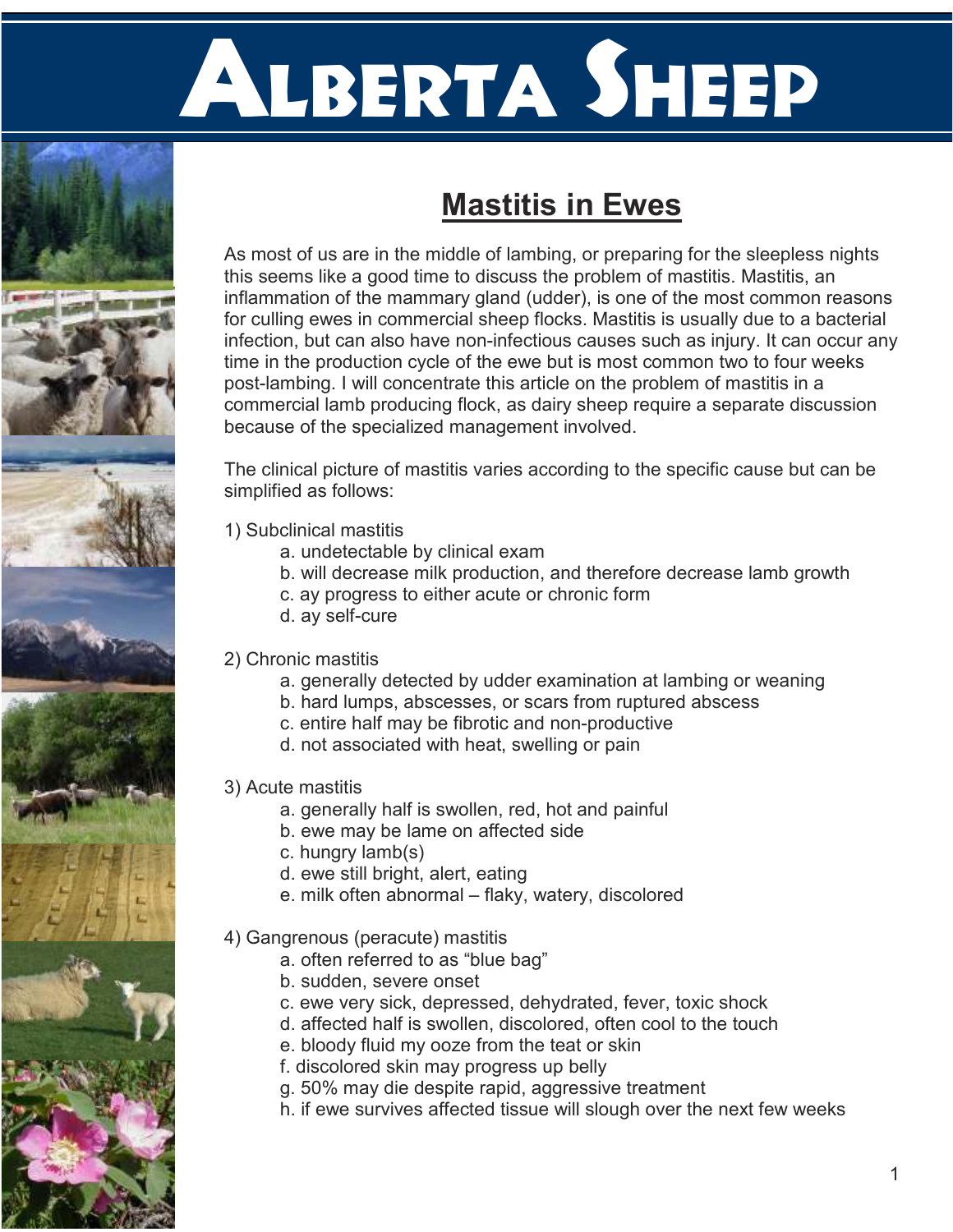# Alberta SHEEP



As most of us are in the middle of lambing, or preparing for the sleepless nights this seems like a good time to discuss the problem of mastitis. Mastitis, an inflammation of the mammary gland (udder), is one of the most common reasons for culling ewes in commercial sheep flocks. Mastitis is usually due to a bacterial infection, but can also have non-infectious causes such as injury. It can occur any time in the production cycle of the ewe but is most common two to four weeks post-lambing. I will concentrate this article on the problem of mastitis in a commercial lamb producing flock, as dairy sheep require a separate discussion because of the specialized management involved.

The clinical picture of mastitis varies according to the specific cause but can be simplified as follows:

- 1) Subclinical mastitis
	- a. undetectable by clinical exam
	- b. will decrease milk production, and therefore decrease lamb growth
	- c. ay progress to either acute or chronic form
	- d. ay self-cure

# 2) Chronic mastitis

- a. generally detected by udder examination at lambing or weaning
- b. hard lumps, abscesses, or scars from ruptured abscess
- c. entire half may be fibrotic and non-productive
- d. not associated with heat, swelling or pain

# 3) Acute mastitis

- a. generally half is swollen, red, hot and painful
- b. ewe may be lame on affected side
- c. hungry lamb(s)
- d. ewe still bright, alert, eating
- e. milk often abnormal flaky, watery, discolored

### 4) Gangrenous (peracute) mastitis

- a. often referred to as "blue bag"
- b. sudden, severe onset
- c. ewe very sick, depressed, dehydrated, fever, toxic shock
- d. affected half is swollen, discolored, often cool to the touch
- e. bloody fluid my ooze from the teat or skin
- f. discolored skin may progress up belly
- g. 50% may die despite rapid, aggressive treatment
- h. if ewe survives affected tissue will slough over the next few weeks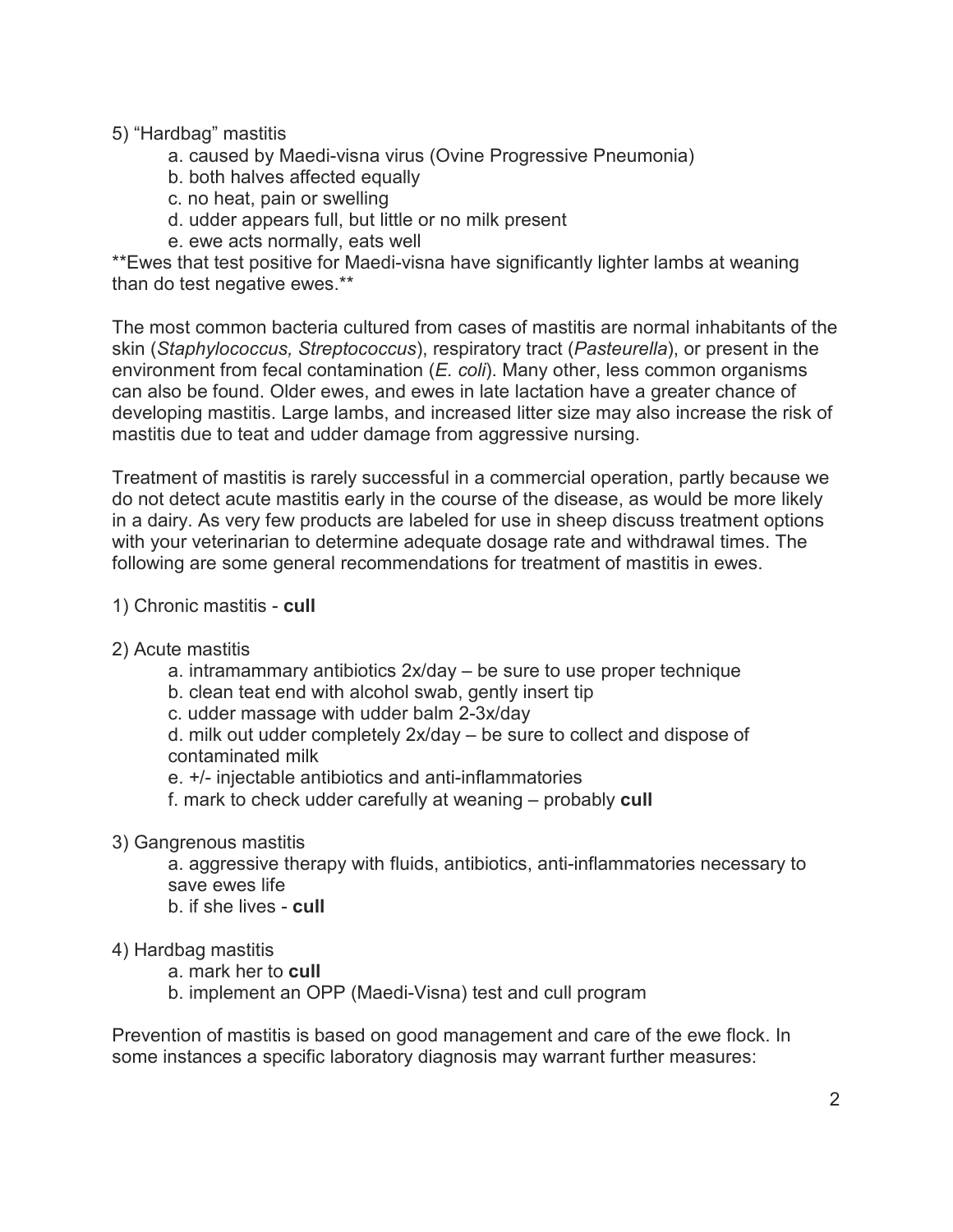### 5) "Hardbag" mastitis

- a. caused by Maedi-visna virus (Ovine Progressive Pneumonia)
- b. both halves affected equally
- c. no heat, pain or swelling
- d. udder appears full, but little or no milk present
- e. ewe acts normally, eats well

\*\*Ewes that test positive for Maedi-visna have significantly lighter lambs at weaning than do test negative ewes.\*\*

The most common bacteria cultured from cases of mastitis are normal inhabitants of the skin (Staphylococcus, Streptococcus), respiratory tract (Pasteurella), or present in the environment from fecal contamination  $(E. \text{ coli})$ . Many other, less common organisms can also be found. Older ewes, and ewes in late lactation have a greater chance of developing mastitis. Large lambs, and increased litter size may also increase the risk of mastitis due to teat and udder damage from aggressive nursing.

Treatment of mastitis is rarely successful in a commercial operation, partly because we do not detect acute mastitis early in the course of the disease, as would be more likely in a dairy. As very few products are labeled for use in sheep discuss treatment options with your veterinarian to determine adequate dosage rate and withdrawal times. The following are some general recommendations for treatment of mastitis in ewes.

- 1) Chronic mastitis cull
- 2) Acute mastitis
	- a. intramammary antibiotics 2x/day be sure to use proper technique
	- b. clean teat end with alcohol swab, gently insert tip
	- c. udder massage with udder balm 2-3x/day

d. milk out udder completely 2x/day – be sure to collect and dispose of contaminated milk

e. +/- injectable antibiotics and anti-inflammatories

f. mark to check udder carefully at weaning – probably cull

3) Gangrenous mastitis

a. aggressive therapy with fluids, antibiotics, anti-inflammatories necessary to save ewes life

b. if she lives - cull

4) Hardbag mastitis

a. mark her to cull

b. implement an OPP (Maedi-Visna) test and cull program

Prevention of mastitis is based on good management and care of the ewe flock. In some instances a specific laboratory diagnosis may warrant further measures: